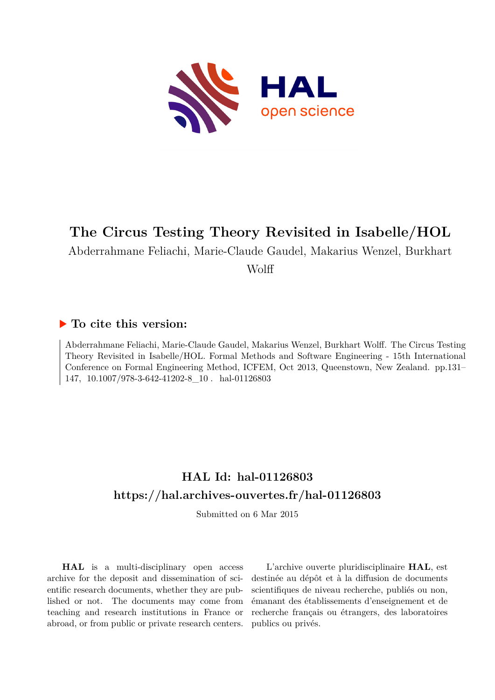

# **The Circus Testing Theory Revisited in Isabelle/HOL**

Abderrahmane Feliachi, Marie-Claude Gaudel, Makarius Wenzel, Burkhart

Wolff

# **To cite this version:**

Abderrahmane Feliachi, Marie-Claude Gaudel, Makarius Wenzel, Burkhart Wolff. The Circus Testing Theory Revisited in Isabelle/HOL. Formal Methods and Software Engineering - 15th International Conference on Formal Engineering Method, ICFEM, Oct 2013, Queenstown, New Zealand. pp.131– 147, 10.1007/978-3-642-41202-8 10. hal-01126803

# **HAL Id: hal-01126803 <https://hal.archives-ouvertes.fr/hal-01126803>**

Submitted on 6 Mar 2015

**HAL** is a multi-disciplinary open access archive for the deposit and dissemination of scientific research documents, whether they are published or not. The documents may come from teaching and research institutions in France or abroad, or from public or private research centers.

L'archive ouverte pluridisciplinaire **HAL**, est destinée au dépôt et à la diffusion de documents scientifiques de niveau recherche, publiés ou non, émanant des établissements d'enseignement et de recherche français ou étrangers, des laboratoires publics ou privés.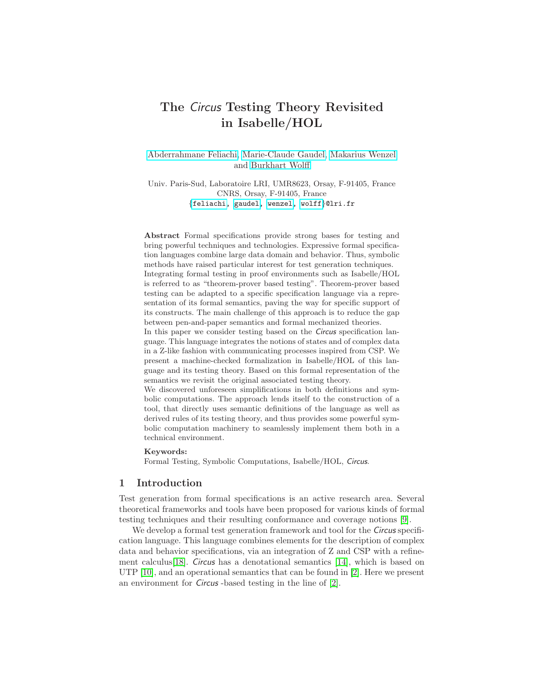# The Circus Testing Theory Revisited in Isabelle/HOL

[Abderrahmane Feliachi,](http://www.lri.fr/~feliachi) [Marie-Claude Gaudel,](http://www.lri.fr/~mcg) [Makarius Wenzel](http://www.lri.fr/~wenzel) and [Burkhart Wolff](http://www.lri.fr/~wolff)

Univ. Paris-Sud, Laboratoire LRI, UMR8623, Orsay, F-91405, France CNRS, Orsay, F-91405, France {[feliachi,](mailto:"Abderrahmane Feliachi" <feliachi@lri.fr>) [gaudel,](mailto:"Marie-Claude Gaudel" <gaudel@lri.fr>) [wenzel,](mailto:"Makarius Wenzel" <wenzel@lri.fr>) [wolff](mailto:"Burkhart Wolff" <wolff@lri.fr>)}@lri.fr

Abstract Formal specifications provide strong bases for testing and bring powerful techniques and technologies. Expressive formal specification languages combine large data domain and behavior. Thus, symbolic methods have raised particular interest for test generation techniques. Integrating formal testing in proof environments such as Isabelle/HOL

is referred to as "theorem-prover based testing". Theorem-prover based testing can be adapted to a specific specification language via a representation of its formal semantics, paving the way for specific support of its constructs. The main challenge of this approach is to reduce the gap between pen-and-paper semantics and formal mechanized theories.

In this paper we consider testing based on the Circus specification language. This language integrates the notions of states and of complex data in a Z-like fashion with communicating processes inspired from CSP. We present a machine-checked formalization in Isabelle/HOL of this language and its testing theory. Based on this formal representation of the semantics we revisit the original associated testing theory.

We discovered unforeseen simplifications in both definitions and symbolic computations. The approach lends itself to the construction of a tool, that directly uses semantic definitions of the language as well as derived rules of its testing theory, and thus provides some powerful symbolic computation machinery to seamlessly implement them both in a technical environment.

#### Keywords:

Formal Testing, Symbolic Computations, Isabelle/HOL, Circus.

## 1 Introduction

Test generation from formal specifications is an active research area. Several theoretical frameworks and tools have been proposed for various kinds of formal testing techniques and their resulting conformance and coverage notions [9].

We develop a formal test generation framework and tool for the *Circus* specification language. This language combines elements for the description of complex data and behavior specifications, via an integration of Z and CSP with a refinement calculus[18]. Circus has a denotational semantics [14], which is based on UTP [10], and an operational semantics that can be found in [2]. Here we present an environment for Circus -based testing in the line of [2].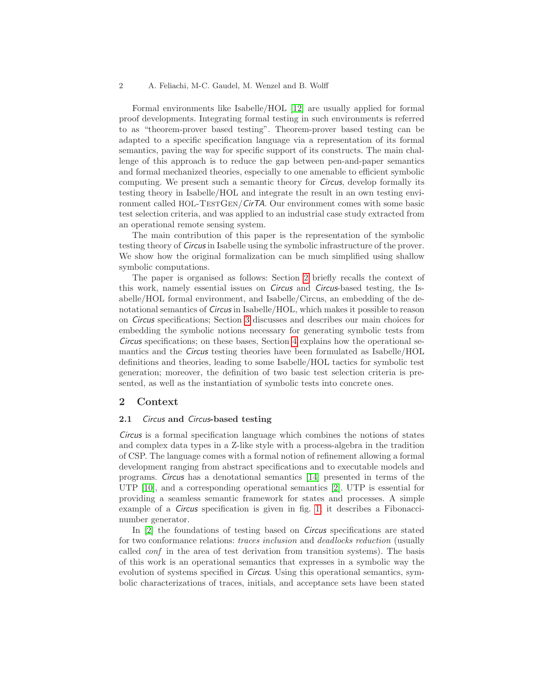#### 2 A. Feliachi, M-C. Gaudel, M. Wenzel and B. Wolff

Formal environments like Isabelle/HOL [12] are usually applied for formal proof developments. Integrating formal testing in such environments is referred to as "theorem-prover based testing". Theorem-prover based testing can be adapted to a specific specification language via a representation of its formal semantics, paving the way for specific support of its constructs. The main challenge of this approach is to reduce the gap between pen-and-paper semantics and formal mechanized theories, especially to one amenable to efficient symbolic computing. We present such a semantic theory for Circus, develop formally its testing theory in Isabelle/HOL and integrate the result in an own testing environment called HOL-TEST $GEN/CirTA$ . Our environment comes with some basic test selection criteria, and was applied to an industrial case study extracted from an operational remote sensing system.

The main contribution of this paper is the representation of the symbolic testing theory of Circus in Isabelle using the symbolic infrastructure of the prover. We show how the original formalization can be much simplified using shallow symbolic computations.

The paper is organised as follows: Section 2 briefly recalls the context of this work, namely essential issues on Circus and Circus-based testing, the Isabelle/HOL formal environment, and Isabelle/Circus, an embedding of the denotational semantics of Circus in Isabelle/HOL, which makes it possible to reason on Circus specifications; Section 3 discusses and describes our main choices for embedding the symbolic notions necessary for generating symbolic tests from Circus specifications; on these bases, Section 4 explains how the operational semantics and the Circus testing theories have been formulated as Isabelle/HOL definitions and theories, leading to some Isabelle/HOL tactics for symbolic test generation; moreover, the definition of two basic test selection criteria is presented, as well as the instantiation of symbolic tests into concrete ones.

#### 2 Context

#### 2.1 Circus and Circus-based testing

Circus is a formal specification language which combines the notions of states and complex data types in a Z-like style with a process-algebra in the tradition of CSP. The language comes with a formal notion of refinement allowing a formal development ranging from abstract specifications and to executable models and programs. Circus has a denotational semantics [14] presented in terms of the UTP [10], and a corresponding operational semantics [2]. UTP is essential for providing a seamless semantic framework for states and processes. A simple example of a Circus specification is given in fig. 1; it describes a Fibonaccinumber generator.

In [2] the foundations of testing based on Circus specifications are stated for two conformance relations: traces inclusion and deadlocks reduction (usually called conf in the area of test derivation from transition systems). The basis of this work is an operational semantics that expresses in a symbolic way the evolution of systems specified in Circus. Using this operational semantics, symbolic characterizations of traces, initials, and acceptance sets have been stated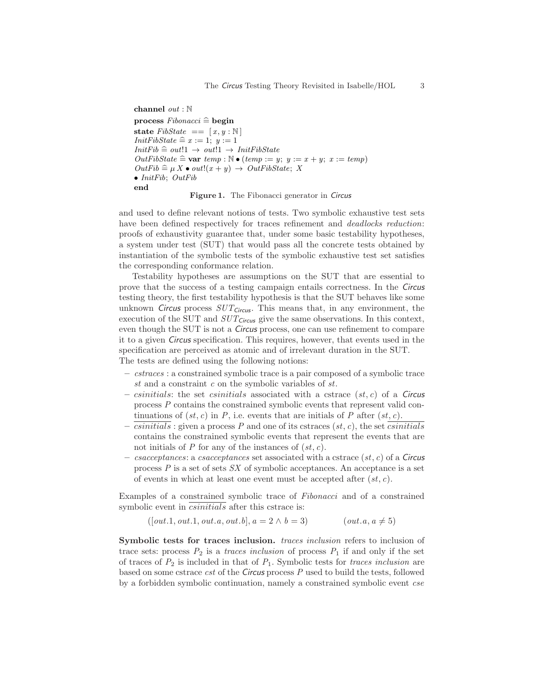```
channel out : N
process Fibonacci \hat{=} begin
state FibState = [x, y : \mathbb{N}]InitFibState \cong x := 1; y := 1InitFib \cong out!1 \rightarrow out!1 \rightarrow InitFibStateOutFibState \cong \textbf{var} temp : \mathbb{N} \bullet (temp := y; y := x + y; x := temp)OutFib \cong \mu X \bullet out!(x + y) \rightarrow OutFibState; X• InitFib; OutFib
end
```
Figure 1. The Fibonacci generator in Circus

and used to define relevant notions of tests. Two symbolic exhaustive test sets have been defined respectively for traces refinement and *deadlocks reduction*: proofs of exhaustivity guarantee that, under some basic testability hypotheses, a system under test (SUT) that would pass all the concrete tests obtained by instantiation of the symbolic tests of the symbolic exhaustive test set satisfies the corresponding conformance relation.

Testability hypotheses are assumptions on the SUT that are essential to prove that the success of a testing campaign entails correctness. In the Circus testing theory, the first testability hypothesis is that the SUT behaves like some unknown *Circus* process  $SUT<sub>Circus</sub>$ . This means that, in any environment, the execution of the SUT and  $SUT_{Circus}$  give the same observations. In this context, even though the SUT is not a Circus process, one can use refinement to compare it to a given Circus specification. This requires, however, that events used in the specification are perceived as atomic and of irrelevant duration in the SUT. The tests are defined using the following notions:

- cstraces : a constrained symbolic trace is a pair composed of a symbolic trace st and a constraint c on the symbolic variables of st.
- csinitials: the set csinitials associated with a cstrace  $(st, c)$  of a Circus process P contains the constrained symbolic events that represent valid continuations of  $(st, c)$  in P, i.e. events that are initials of P after  $(st, c)$ .
- csinitials : given a process P and one of its cstraces (st, c), the set csinitials contains the constrained symbolic events that represent the events that are not initials of  $P$  for any of the instances of  $(st, c)$ .
- csacceptances: a csacceptances set associated with a cstrace  $(st, c)$  of a Circus process  $P$  is a set of sets  $SX$  of symbolic acceptances. An acceptance is a set of events in which at least one event must be accepted after  $(st, c)$ .

Examples of a constrained symbolic trace of Fibonacci and of a constrained symbolic event in *csinitials* after this cstrace is:

$$
([out.1, out.1, out.a, out.b], a = 2 \land b = 3)
$$
 (out.a, a \neq 5)

Symbolic tests for traces inclusion. *traces inclusion* refers to inclusion of trace sets: process  $P_2$  is a *traces inclusion* of process  $P_1$  if and only if the set of traces of  $P_2$  is included in that of  $P_1$ . Symbolic tests for traces inclusion are based on some cstrace  $cst$  of the Circus process  $P$  used to build the tests, followed by a forbidden symbolic continuation, namely a constrained symbolic event cse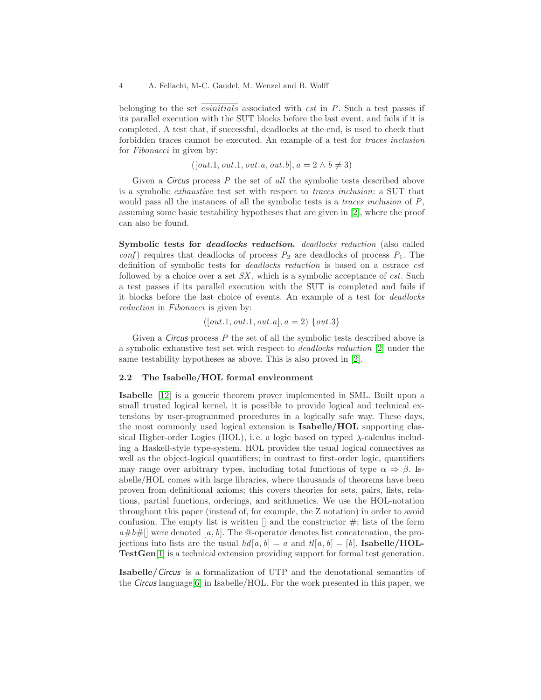belonging to the set  $\overline{c sinitials}$  associated with cst in P. Such a test passes if its parallel execution with the SUT blocks before the last event, and fails if it is completed. A test that, if successful, deadlocks at the end, is used to check that forbidden traces cannot be executed. An example of a test for traces inclusion for *Fibonacci* in given by:

 $([out.1, out.1, out.a, out.b], a = 2 \wedge b \neq 3)$ 

Given a Circus process  $P$  the set of all the symbolic tests described above is a symbolic exhaustive test set with respect to traces inclusion: a SUT that would pass all the instances of all the symbolic tests is a *traces inclusion* of  $P$ , assuming some basic testability hypotheses that are given in [2], where the proof can also be found.

Symbolic tests for *deadlocks reduction*. *deadlocks reduction* (also called conf) requires that deadlocks of process  $P_2$  are deadlocks of process  $P_1$ . The definition of symbolic tests for deadlocks reduction is based on a cstrace cst followed by a choice over a set  $SX$ , which is a symbolic acceptance of  $cst$ . Such a test passes if its parallel execution with the SUT is completed and fails if it blocks before the last choice of events. An example of a test for deadlocks reduction in Fibonacci is given by:

 $([out.1, out.1, out.a], a = 2) \{out.3\}$ 

Given a Circus process  $P$  the set of all the symbolic tests described above is a symbolic exhaustive test set with respect to deadlocks reduction [2] under the same testability hypotheses as above. This is also proved in [2].

#### 2.2 The Isabelle/HOL formal environment

Isabelle [12] is a generic theorem prover implemented in SML. Built upon a small trusted logical kernel, it is possible to provide logical and technical extensions by user-programmed procedures in a logically safe way. These days, the most commonly used logical extension is Isabelle/HOL supporting classical Higher-order Logics (HOL), i.e. a logic based on typed  $\lambda$ -calculus including a Haskell-style type-system. HOL provides the usual logical connectives as well as the object-logical quantifiers; in contrast to first-order logic, quantifiers may range over arbitrary types, including total functions of type  $\alpha \Rightarrow \beta$ . Isabelle/HOL comes with large libraries, where thousands of theorems have been proven from definitional axioms; this covers theories for sets, pairs, lists, relations, partial functions, orderings, and arithmetics. We use the HOL-notation throughout this paper (instead of, for example, the Z notation) in order to avoid confusion. The empty list is written  $\parallel$  and the constructor  $\#$ ; lists of the form  $a \# b \# \parallel$  were denoted [a, b]. The  $\mathcal{Q}$ -operator denotes list concatenation, the projections into lists are the usual  $hd[a, b] = a$  and  $tl[a, b] = [b]$ . **Isabelle/HOL-**TestGen[1] is a technical extension providing support for formal test generation.

Isabelle/Circus is a formalization of UTP and the denotational semantics of the Circus language[6] in Isabelle/HOL. For the work presented in this paper, we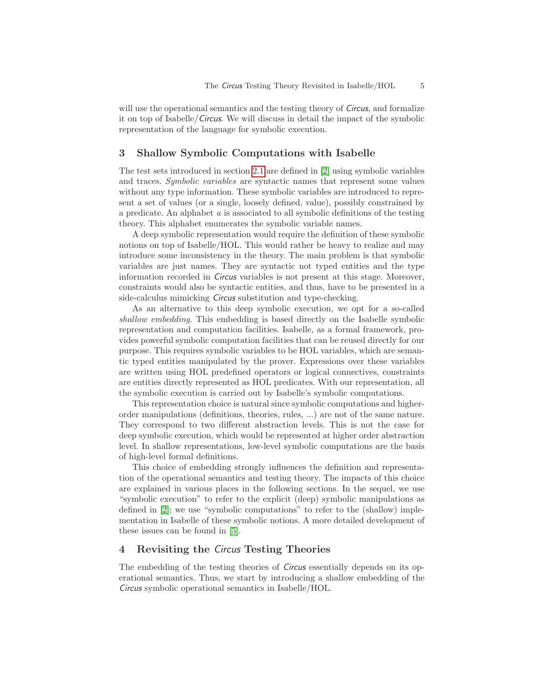will use the operational semantics and the testing theory of *Circus*, and formalize it on top of Isabelle/Circus. We will discuss in detail the impact of the symbolic representation of the language for symbolic execution.

## 3 Shallow Symbolic Computations with Isabelle

The test sets introduced in section 2.1 are defined in [2] using symbolic variables and traces. Symbolic variables are syntactic names that represent some values without any type information. These symbolic variables are introduced to represent a set of values (or a single, loosely defined, value), possibly constrained by a predicate. An alphabet a is associated to all symbolic definitions of the testing theory. This alphabet enumerates the symbolic variable names.

A deep symbolic representation would require the definition of these symbolic notions on top of Isabelle/HOL. This would rather be heavy to realize and may introduce some inconsistency in the theory. The main problem is that symbolic variables are just names. They are syntactic not typed entities and the type information recorded in Circus variables is not present at this stage. Moreover, constraints would also be syntactic entities, and thus, have to be presented in a side-calculus mimicking *Circus* substitution and type-checking.

As an alternative to this deep symbolic execution, we opt for a so-called shallow embedding. This embedding is based directly on the Isabelle symbolic representation and computation facilities. Isabelle, as a formal framework, provides powerful symbolic computation facilities that can be reused directly for our purpose. This requires symbolic variables to be HOL variables, which are semantic typed entities manipulated by the prover. Expressions over these variables are written using HOL predefined operators or logical connectives, constraints are entities directly represented as HOL predicates. With our representation, all the symbolic execution is carried out by Isabelle's symbolic computations.

This representation choice is natural since symbolic computations and higherorder manipulations (definitions, theories, rules, ...) are not of the same nature. They correspond to two different abstraction levels. This is not the case for deep symbolic execution, which would be represented at higher order abstraction level. In shallow representations, low-level symbolic computations are the basis of high-level formal definitions.

This choice of embedding strongly influences the definition and representation of the operational semantics and testing theory. The impacts of this choice are explained in various places in the following sections. In the sequel, we use "symbolic execution" to refer to the explicit (deep) symbolic manipulations as defined in [2]; we use "symbolic computations" to refer to the (shallow) implementation in Isabelle of these symbolic notions. A more detailed development of these issues can be found in [5].

# 4 Revisiting the Circus Testing Theories

The embedding of the testing theories of Circus essentially depends on its operational semantics. Thus, we start by introducing a shallow embedding of the Circus symbolic operational semantics in Isabelle/HOL.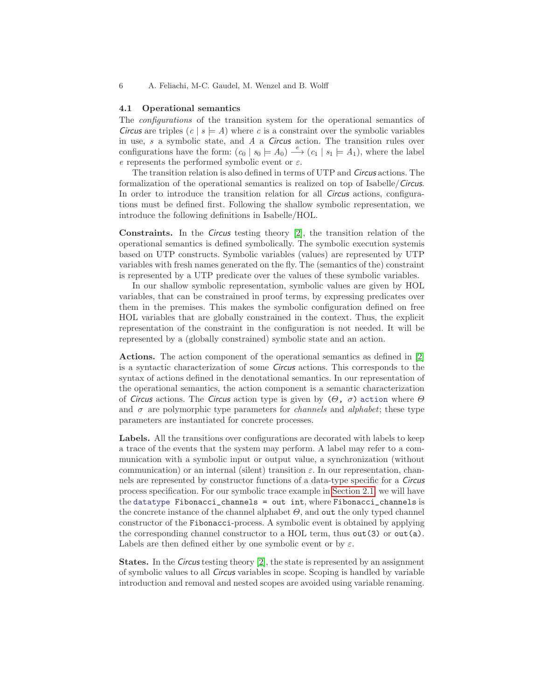6 A. Feliachi, M-C. Gaudel, M. Wenzel and B. Wolff

#### 4.1 Operational semantics

The configurations of the transition system for the operational semantics of Circus are triples  $(c \mid s \models A)$  where c is a constraint over the symbolic variables in use, s a symbolic state, and A a Circus action. The transition rules over configurations have the form:  $(c_0 | s_0 \models A_0) \stackrel{e}{\longrightarrow} (c_1 | s_1 \models A_1)$ , where the label e represents the performed symbolic event or  $\varepsilon$ .

The transition relation is also defined in terms of UTP and Circus actions. The formalization of the operational semantics is realized on top of Isabelle/Circus. In order to introduce the transition relation for all *Circus* actions, configurations must be defined first. Following the shallow symbolic representation, we introduce the following definitions in Isabelle/HOL.

Constraints. In the Circus testing theory [2], the transition relation of the operational semantics is defined symbolically. The symbolic execution systemis based on UTP constructs. Symbolic variables (values) are represented by UTP variables with fresh names generated on the fly. The (semantics of the) constraint is represented by a UTP predicate over the values of these symbolic variables.

In our shallow symbolic representation, symbolic values are given by HOL variables, that can be constrained in proof terms, by expressing predicates over them in the premises. This makes the symbolic configuration defined on free HOL variables that are globally constrained in the context. Thus, the explicit representation of the constraint in the configuration is not needed. It will be represented by a (globally constrained) symbolic state and an action.

Actions. The action component of the operational semantics as defined in [2] is a syntactic characterization of some Circus actions. This corresponds to the syntax of actions defined in the denotational semantics. In our representation of the operational semantics, the action component is a semantic characterization of Circus actions. The Circus action type is given by  $(\Theta, \sigma)$  action where  $\Theta$ and  $\sigma$  are polymorphic type parameters for *channels* and *alphabet*; these type parameters are instantiated for concrete processes.

Labels. All the transitions over configurations are decorated with labels to keep a trace of the events that the system may perform. A label may refer to a communication with a symbolic input or output value, a synchronization (without communication) or an internal (silent) transition  $\varepsilon$ . In our representation, channels are represented by constructor functions of a data-type specific for a Circus process specification. For our symbolic trace example in Section 2.1, we will have the datatype Fibonacci\_channels = out int, where Fibonacci\_channels is the concrete instance of the channel alphabet  $\Theta$ , and out the only typed channel constructor of the Fibonacci-process. A symbolic event is obtained by applying the corresponding channel constructor to a HOL term, thus  $out(3)$  or  $out(a)$ . Labels are then defined either by one symbolic event or by  $\varepsilon$ .

**States.** In the *Circus* testing theory  $[2]$ , the state is represented by an assignment of symbolic values to all Circus variables in scope. Scoping is handled by variable introduction and removal and nested scopes are avoided using variable renaming.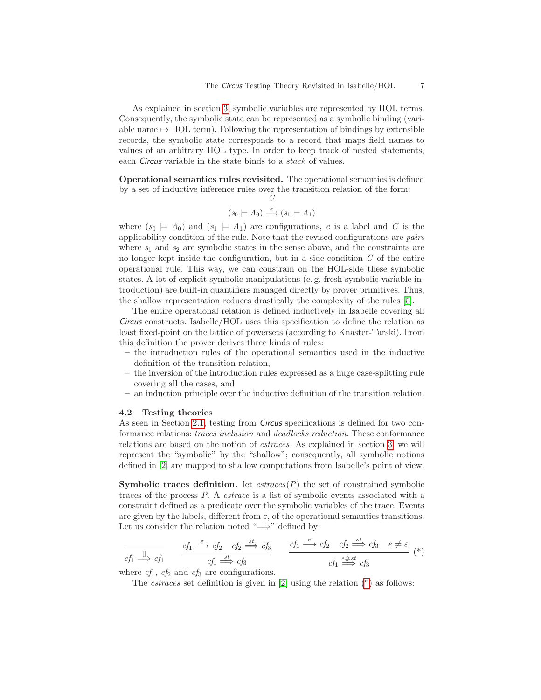As explained in section 3, symbolic variables are represented by HOL terms. Consequently, the symbolic state can be represented as a symbolic binding (variable name  $\rightarrow$  HOL term). Following the representation of bindings by extensible records, the symbolic state corresponds to a record that maps field names to values of an arbitrary HOL type. In order to keep track of nested statements, each *Circus* variable in the state binds to a *stack* of values.

Operational semantics rules revisited. The operational semantics is defined by a set of inductive inference rules over the transition relation of the form:

$$
\frac{C}{(s_0 \models A_0) \stackrel{e}{\longrightarrow} (s_1 \models A_1)}
$$

where  $(s_0 \models A_0)$  and  $(s_1 \models A_1)$  are configurations, e is a label and C is the applicability condition of the rule. Note that the revised configurations are pairs where  $s_1$  and  $s_2$  are symbolic states in the sense above, and the constraints are no longer kept inside the configuration, but in a side-condition  $C$  of the entire operational rule. This way, we can constrain on the HOL-side these symbolic states. A lot of explicit symbolic manipulations (e. g. fresh symbolic variable introduction) are built-in quantifiers managed directly by prover primitives. Thus, the shallow representation reduces drastically the complexity of the rules [5].

The entire operational relation is defined inductively in Isabelle covering all Circus constructs. Isabelle/HOL uses this specification to define the relation as least fixed-point on the lattice of powersets (according to Knaster-Tarski). From this definition the prover derives three kinds of rules:

- the introduction rules of the operational semantics used in the inductive definition of the transition relation,
- the inversion of the introduction rules expressed as a huge case-splitting rule covering all the cases, and
- an induction principle over the inductive definition of the transition relation.

#### 4.2 Testing theories

As seen in Section 2.1, testing from *Circus* specifications is defined for two conformance relations: traces inclusion and deadlocks reduction. These conformance relations are based on the notion of cstraces. As explained in section 3, we will represent the "symbolic" by the "shallow"; consequently, all symbolic notions defined in [2] are mapped to shallow computations from Isabelle's point of view.

**Symbolic traces definition.** let  $cstraces(P)$  the set of constrained symbolic traces of the process P. A cstrace is a list of symbolic events associated with a constraint defined as a predicate over the symbolic variables of the trace. Events are given by the labels, different from  $\varepsilon$ , of the operational semantics transitions. Let us consider the relation noted " $\Longrightarrow$ " defined by:

$$
\overline{cf_1 \xrightarrow{\text{f}} cf_1} \quad \overline{cf_1 \xrightarrow{f_2} cf_2 \xrightarrow{st} cf_3} \quad \overline{cf_1 \xrightarrow{e} cf_2 \xrightarrow{ef_2} cf_2 \xrightarrow{st} cf_3 \quad e \neq \varepsilon} (*)
$$

where  $cf_1$ ,  $cf_2$  and  $cf_3$  are configurations.

The *cstraces* set definition is given in [2] using the relation  $(*)$  as follows: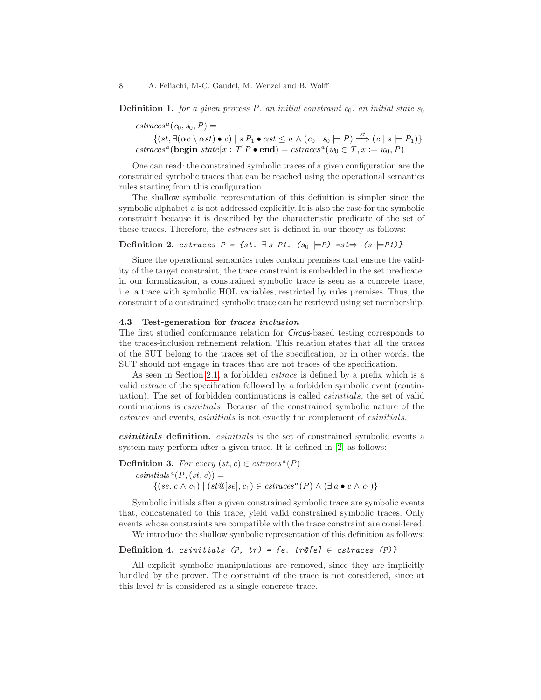**Definition 1.** for a given process P, an initial constraint  $c_0$ , an initial state  $s_0$ 

 $cstraces^a(c_0, s_0, P) =$  $\{(st, \exists (\alpha c \setminus \alpha st) \bullet c) \mid s \, P_1 \bullet \alpha st \leq a \land (c_0 \mid s_0 \models P) \stackrel{st}{\Longrightarrow} (c \mid s \models P_1)\}\$  $cstraces^a(\text{begin state}[x: T]P \bullet \text{end}) = cstraces^a(w_0 \in T, x := w_0, P)$ 

One can read: the constrained symbolic traces of a given configuration are the constrained symbolic traces that can be reached using the operational semantics rules starting from this configuration.

The shallow symbolic representation of this definition is simpler since the symbolic alphabet a is not addressed explicitly. It is also the case for the symbolic constraint because it is described by the characteristic predicate of the set of these traces. Therefore, the cstraces set is defined in our theory as follows:

# Definition 2. cstraces  $P = \{st. \exists s \; P1. \; (s_0 \models P) \; \text{=} st \Rightarrow \; (s \models P1) \}$

Since the operational semantics rules contain premises that ensure the validity of the target constraint, the trace constraint is embedded in the set predicate: in our formalization, a constrained symbolic trace is seen as a concrete trace, i. e. a trace with symbolic HOL variables, restricted by rules premises. Thus, the constraint of a constrained symbolic trace can be retrieved using set membership.

#### 4.3 Test-generation for traces inclusion

The first studied conformance relation for Circus-based testing corresponds to the traces-inclusion refinement relation. This relation states that all the traces of the SUT belong to the traces set of the specification, or in other words, the SUT should not engage in traces that are not traces of the specification.

As seen in Section 2.1, a forbidden cstrace is defined by a prefix which is a valid cstrace of the specification followed by a forbidden symbolic event (continuation). The set of forbidden continuations is called *csinitials*, the set of valid continuations is csinitials. Because of the constrained symbolic nature of the cstraces and events, csinitials is not exactly the complement of csinitials.

csinitials definition. csinitials is the set of constrained symbolic events a system may perform after a given trace. It is defined in [2] as follows:

**Definition 3.** For every  $(st, c) \in \text{costraces}^a(P)$ 

 $csinitials^a(P,(st,c)) =$  $\{(se, c \wedge c_1) \mid (st \mathbb{Q}[se], c_1) \in \textit{cstraces}^a(P) \wedge (\exists a \bullet c \wedge c_1)\}\$ 

Symbolic initials after a given constrained symbolic trace are symbolic events that, concatenated to this trace, yield valid constrained symbolic traces. Only events whose constraints are compatible with the trace constraint are considered.

We introduce the shallow symbolic representation of this definition as follows:

## Definition 4. csinitials  $(P, tr) = \{e$ .  $tr@[e] \in \text{cstraces}(P)\}\$

All explicit symbolic manipulations are removed, since they are implicitly handled by the prover. The constraint of the trace is not considered, since at this level tr is considered as a single concrete trace.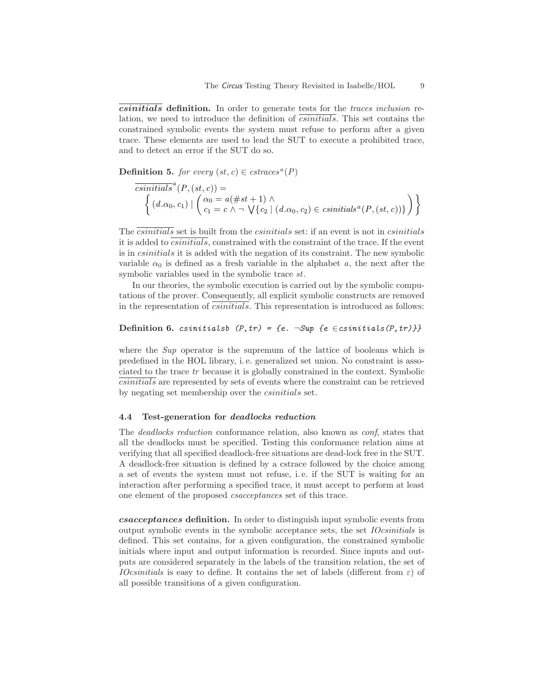csinitials definition. In order to generate tests for the traces inclusion relation, we need to introduce the definition of csinitials. This set contains the constrained symbolic events the system must refuse to perform after a given trace. These elements are used to lead the SUT to execute a prohibited trace, and to detect an error if the SUT do so.

Definition 5. for every  $(st, c) \in \text{cstraces}^a(P)$ 

$$
\overline{csinitials}^{a}(P,(st,c)) = \left\{ (d.\alpha_0, c_1) \mid \begin{pmatrix} \alpha_0 = a(\#st+1) \land \\ c_1 = c \land \neg \bigvee \{c_2 \mid (d.\alpha_0, c_2) \in \text{csinitials}^{a}(P,(st,c)) \} \end{pmatrix} \right\}
$$

The  $\overline{c sinitials}$  set is built from the *csinitials* set: if an event is not in *csinitials* it is added to csinitials, constrained with the constraint of the trace. If the event is in csinitials it is added with the negation of its constraint. The new symbolic variable  $\alpha_0$  is defined as a fresh variable in the alphabet a, the next after the symbolic variables used in the symbolic trace st.

In our theories, the symbolic execution is carried out by the symbolic computations of the prover. Consequently, all explicit symbolic constructs are removed in the representation of  $\overline{c sinitials}$ . This representation is introduced as follows:

# Definition 6. csinitialsb  $(P, tr) = \{e \text{. } \neg Sup \{e \in \text{csintials}(P, tr)\}\}\$

where the *Sup* operator is the supremum of the lattice of booleans which is predefined in the HOL library, i. e. generalized set union. No constraint is associated to the trace tr because it is globally constrained in the context. Symbolic csinitials are represented by sets of events where the constraint can be retrieved by negating set membership over the csinitials set.

#### 4.4 Test-generation for deadlocks reduction

The deadlocks reduction conformance relation, also known as conf, states that all the deadlocks must be specified. Testing this conformance relation aims at verifying that all specified deadlock-free situations are dead-lock free in the SUT. A deadlock-free situation is defined by a cstrace followed by the choice among a set of events the system must not refuse, i. e. if the SUT is waiting for an interaction after performing a specified trace, it must accept to perform at least one element of the proposed csacceptances set of this trace.

csacceptances definition. In order to distinguish input symbolic events from output symbolic events in the symbolic acceptance sets, the set IOcsinitials is defined. This set contains, for a given configuration, the constrained symbolic initials where input and output information is recorded. Since inputs and outputs are considered separately in the labels of the transition relation, the set of IOcsinitials is easy to define. It contains the set of labels (different from  $\varepsilon$ ) of all possible transitions of a given configuration.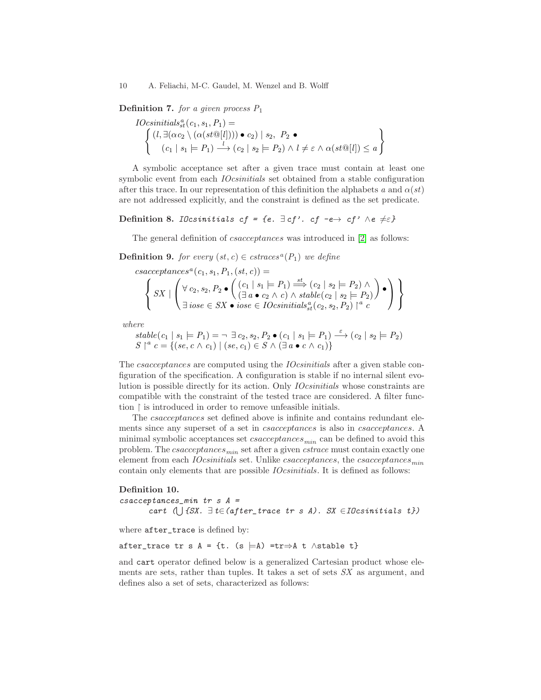**Definition 7.** for a given process  $P_1$ 

$$
IOcsinitialssta(c1, s1, P1) =
$$
  

$$
\begin{cases} (l, \exists (\alpha c_2 \setminus (\alpha(st@[l])) \bullet c_2) \mid s_2, P_2 \bullet \\ (c_1 \mid s_1 \models P_1) \xrightarrow{l} (c_2 \mid s_2 \models P_2) \land l \neq \varepsilon \land \alpha(st@[l]) \leq a \end{cases}
$$

A symbolic acceptance set after a given trace must contain at least one symbolic event from each *IOcsinitials* set obtained from a stable configuration after this trace. In our representation of this definition the alphabets a and  $\alpha(st)$ are not addressed explicitly, and the constraint is defined as the set predicate.

Definition 8. IOcsinitials cf = {e.  $\exists cf'$ . cf -e  $\rightarrow cf' \land e \neq \in$ }

The general definition of csacceptances was introduced in [2] as follows:

**Definition 9.** for every  $(st, c) \in \text{cstraces}^a(P_1)$  we define

$$
saceptances^a(c_1, s_1, P_1, (st, c)) =
$$
\n
$$
\left\{ SX \mid \begin{pmatrix} \forall c_2, s_2, P_2 \bullet \begin{pmatrix} (c_1 \mid s_1 \models P_1) \stackrel{st}{\Longrightarrow} (c_2 \mid s_2 \models P_2) \land \\ (\exists a \bullet c_2 \land c) \land stable(c_2 \mid s_2 \models P_2) \end{pmatrix} \bullet \begin{pmatrix} \\ \\ \end{pmatrix} \right\}
$$
\n
$$
\exists \text{ is } s \in SX \bullet \text{ is } s \in \text{IOcsinitials}_{st}^a(c_2, s_2, P_2) \upharpoonright^a c
$$

where

$$
stable(c_1 \mid s_1 \models P_1) = \neg \exists c_2, s_2, P_2 \bullet (c_1 \mid s_1 \models P_1) \xrightarrow{\varepsilon} (c_2 \mid s_2 \models P_2)
$$
  

$$
S \uparrow^a c = \{ (se, c \land c_1) \mid (se, c_1) \in S \land (\exists a \bullet c \land c_1) \}
$$

The *csacceptances* are computed using the *IOcsinitials* after a given stable configuration of the specification. A configuration is stable if no internal silent evolution is possible directly for its action. Only IOcsinitials whose constraints are compatible with the constraint of the tested trace are considered. A filter function  $\upharpoonright$  is introduced in order to remove unfeasible initials.

The csacceptances set defined above is infinite and contains redundant elements since any superset of a set in *csacceptances* is also in *csacceptances*. A minimal symbolic acceptances set  $c \,s \,acept \,ances_{min}$  can be defined to avoid this problem. The  $csceptances_{min}$  set after a given  $cstrace$  must contain exactly one element from each *IOcsinitials* set. Unlike *csacceptances*, the *csacceptances* $_{min}$ contain only elements that are possible *IOcsinitials*. It is defined as follows:

#### Definition 10.

 $cscceptances\_min$   $tr$   $s$   $A =$ cart  $(\bigcup \{SX.\ \exists t \in (after\_trace\ tr\ s\ A). \ SX \in IDCs in itials\ t\})$ 

where after\_trace is defined by:

after\_trace tr s A = {t. (s  $\models A$ ) =tr $\Rightarrow$ A t ∧stable t}

and cart operator defined below is a generalized Cartesian product whose elements are sets, rather than tuples. It takes a set of sets SX as argument, and defines also a set of sets, characterized as follows: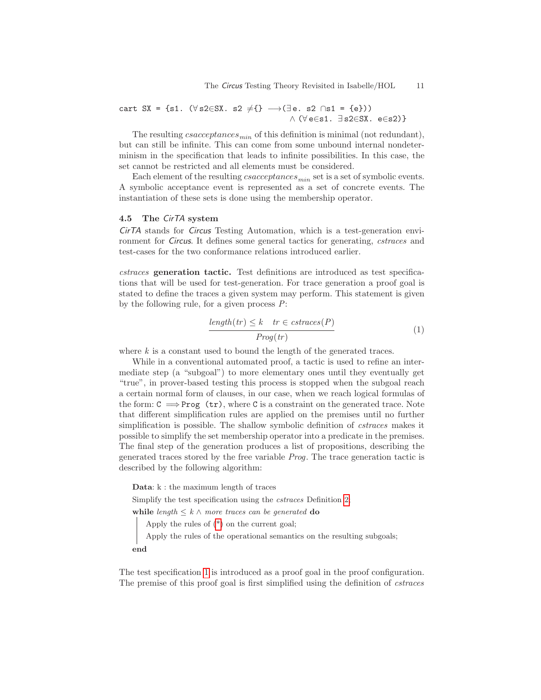cart SX = {s1. ( $\forall$  s2∈SX. s2  $\neq$ {}  $\longrightarrow$ ( $\exists$  e. s2 ∩s1 = {e})) ∧ (∀ e∈s1. ∃ s2∈SX. e∈s2)}

The resulting csacceptances<sub>min</sub> of this definition is minimal (not redundant), but can still be infinite. This can come from some unbound internal nondeterminism in the specification that leads to infinite possibilities. In this case, the set cannot be restricted and all elements must be considered.

Each element of the resulting  $c \,s \, \alpha \, \text{cept} \, \text{an} \, \text{cest}$  is a set of symbolic events. A symbolic acceptance event is represented as a set of concrete events. The instantiation of these sets is done using the membership operator.

#### 4.5 The CirTA system

CirTA stands for Circus Testing Automation, which is a test-generation environment for Circus. It defines some general tactics for generating, cstraces and test-cases for the two conformance relations introduced earlier.

cstraces generation tactic. Test definitions are introduced as test specifications that will be used for test-generation. For trace generation a proof goal is stated to define the traces a given system may perform. This statement is given by the following rule, for a given process  $P$ :

$$
\frac{length(tr) \le k \quad tr \in \text{cstraces}(P)}{Prog(tr)}\tag{1}
$$

where  $k$  is a constant used to bound the length of the generated traces.

While in a conventional automated proof, a tactic is used to refine an intermediate step (a "subgoal") to more elementary ones until they eventually get "true", in prover-based testing this process is stopped when the subgoal reach a certain normal form of clauses, in our case, when we reach logical formulas of the form:  $C \implies$  Prog (tr), where C is a constraint on the generated trace. Note that different simplification rules are applied on the premises until no further simplification is possible. The shallow symbolic definition of cstraces makes it possible to simplify the set membership operator into a predicate in the premises. The final step of the generation produces a list of propositions, describing the generated traces stored by the free variable Prog. The trace generation tactic is described by the following algorithm:

Data: k : the maximum length of traces

Simplify the test specification using the cstraces Definition 2;

while length  $\leq k \wedge$  more traces can be generated **do** 

Apply the rules of (\*) on the current goal;

Apply the rules of the operational semantics on the resulting subgoals; end

The test specification 1 is introduced as a proof goal in the proof configuration. The premise of this proof goal is first simplified using the definition of cstraces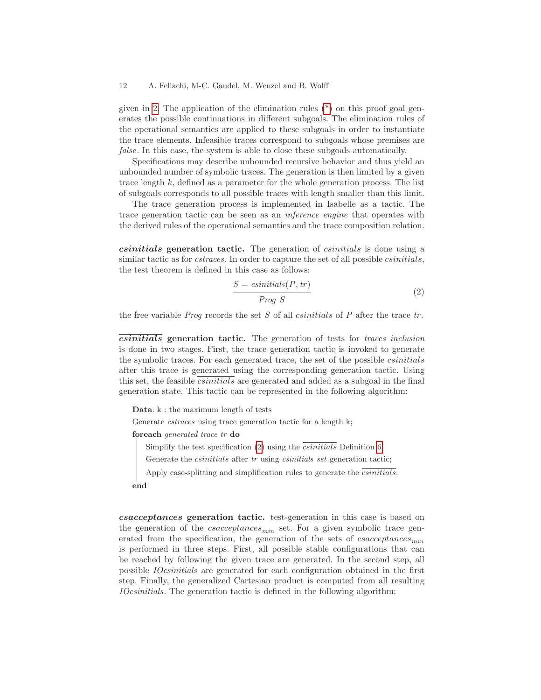given in 2. The application of the elimination rules  $(*)$  on this proof goal generates the possible continuations in different subgoals. The elimination rules of the operational semantics are applied to these subgoals in order to instantiate the trace elements. Infeasible traces correspond to subgoals whose premises are false. In this case, the system is able to close these subgoals automatically.

Specifications may describe unbounded recursive behavior and thus yield an unbounded number of symbolic traces. The generation is then limited by a given trace length  $k$ , defined as a parameter for the whole generation process. The list of subgoals corresponds to all possible traces with length smaller than this limit.

The trace generation process is implemented in Isabelle as a tactic. The trace generation tactic can be seen as an inference engine that operates with the derived rules of the operational semantics and the trace composition relation.

csinitials generation tactic. The generation of csinitials is done using a similar tactic as for *cstraces*. In order to capture the set of all possible *csinitials*, the test theorem is defined in this case as follows:

$$
\frac{S = \text{csinitals}(P, tr)}{\text{Prog } S} \tag{2}
$$

the free variable *Prog* records the set  $S$  of all *csinitials* of  $P$  after the trace  $tr$ .

csinitials generation tactic. The generation of tests for traces inclusion is done in two stages. First, the trace generation tactic is invoked to generate the symbolic traces. For each generated trace, the set of the possible *csinitials* after this trace is generated using the corresponding generation tactic. Using this set, the feasible *csinitials* are generated and added as a subgoal in the final generation state. This tactic can be represented in the following algorithm:

Data: k : the maximum length of tests

Generate *cstraces* using trace generation tactic for a length k;

foreach generated trace tr do

Simplify the test specification (2) using the  $\overline{c sinitials}$  Definition 6;

Generate the *csinitials* after tr using *csinitials set* generation tactic;

Apply case-splitting and simplification rules to generate the  $\overline{c sinitials};$ end

csacceptances generation tactic. test-generation in this case is based on the generation of the *csacceptances<sub>min</sub>* set. For a given symbolic trace generated from the specification, the generation of the sets of  $c \,s \,acceptances_{min}$ is performed in three steps. First, all possible stable configurations that can be reached by following the given trace are generated. In the second step, all possible IOcsinitials are generated for each configuration obtained in the first step. Finally, the generalized Cartesian product is computed from all resulting IOcsinitials. The generation tactic is defined in the following algorithm: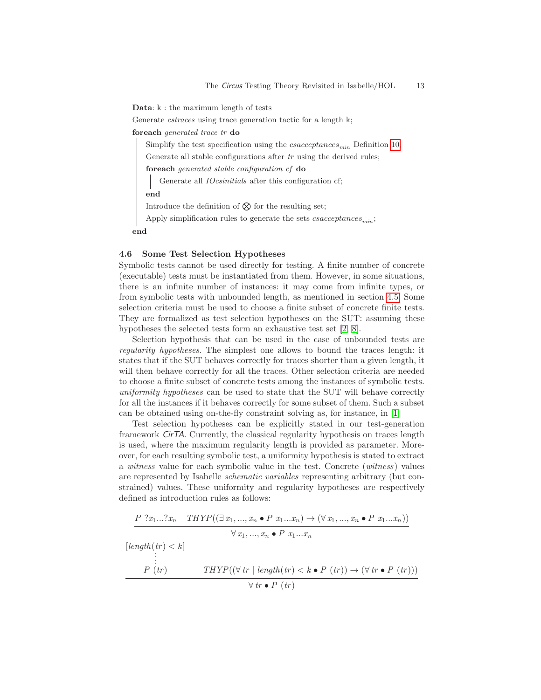Data: k : the maximum length of tests

Generate *cstraces* using trace generation tactic for a length k;

foreach generated trace tr do

Simplify the test specification using the  $csacceptances_{min}$  Definition 10; Generate all stable configurations after tr using the derived rules;

foreach generated stable configuration cf do

Generate all *IOcsinitials* after this configuration cf;

end

Introduce the definition of  $\otimes$  for the resulting set;

Apply simplification rules to generate the sets  $c \,s \,acceptances_{min};$ 

end

#### 4.6 Some Test Selection Hypotheses

Symbolic tests cannot be used directly for testing. A finite number of concrete (executable) tests must be instantiated from them. However, in some situations, there is an infinite number of instances: it may come from infinite types, or from symbolic tests with unbounded length, as mentioned in section 4.5. Some selection criteria must be used to choose a finite subset of concrete finite tests. They are formalized as test selection hypotheses on the SUT: assuming these hypotheses the selected tests form an exhaustive test set [2, 8].

Selection hypothesis that can be used in the case of unbounded tests are regularity hypotheses. The simplest one allows to bound the traces length: it states that if the SUT behaves correctly for traces shorter than a given length, it will then behave correctly for all the traces. Other selection criteria are needed to choose a finite subset of concrete tests among the instances of symbolic tests. uniformity hypotheses can be used to state that the SUT will behave correctly for all the instances if it behaves correctly for some subset of them. Such a subset can be obtained using on-the-fly constraint solving as, for instance, in [1]

Test selection hypotheses can be explicitly stated in our test-generation framework CirTA. Currently, the classical regularity hypothesis on traces length is used, where the maximum regularity length is provided as parameter. Moreover, for each resulting symbolic test, a uniformity hypothesis is stated to extract a witness value for each symbolic value in the test. Concrete (witness) values are represented by Isabelle schematic variables representing arbitrary (but constrained) values. These uniformity and regularity hypotheses are respectively defined as introduction rules as follows:

$$
\frac{P\ ?x_1...?x_n\quad THYP((\exists x_1,...,x_n \bullet P\ x_1...x_n) \to (\forall x_1,...,x_n \bullet P\ x_1...x_n))}{\forall x_1,...,x_n \bullet P\ x_1...x_n}
$$
\n
$$
[length(tr) < k]
$$
\n
$$
\vdots
$$
\n
$$
P\ (tr) \qquad THYP((\forall tr \mid length(tr) < k \bullet P\ (tr)) \to (\forall tr \bullet P\ (tr)))
$$
\n
$$
\forall tr \bullet P\ (tr)
$$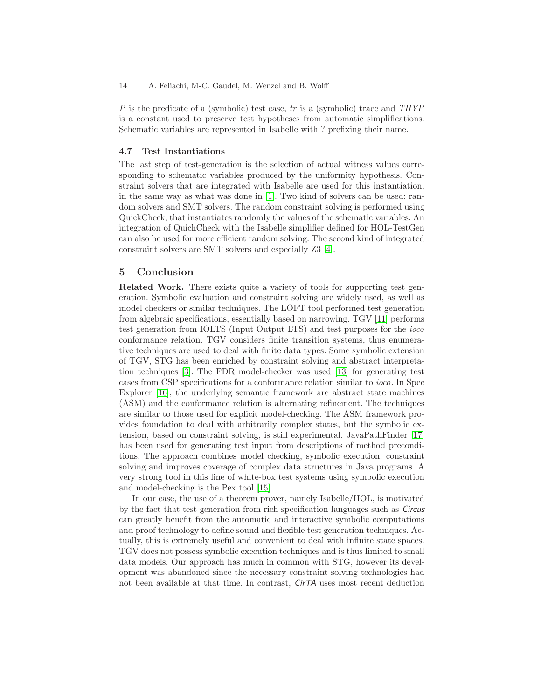P is the predicate of a (symbolic) test case,  $tr$  is a (symbolic) trace and  $THYP$ is a constant used to preserve test hypotheses from automatic simplifications. Schematic variables are represented in Isabelle with ? prefixing their name.

#### 4.7 Test Instantiations

The last step of test-generation is the selection of actual witness values corresponding to schematic variables produced by the uniformity hypothesis. Constraint solvers that are integrated with Isabelle are used for this instantiation, in the same way as what was done in [1]. Two kind of solvers can be used: random solvers and SMT solvers. The random constraint solving is performed using QuickCheck, that instantiates randomly the values of the schematic variables. An integration of QuichCheck with the Isabelle simplifier defined for HOL-TestGen can also be used for more efficient random solving. The second kind of integrated constraint solvers are SMT solvers and especially Z3 [4].

## 5 Conclusion

Related Work. There exists quite a variety of tools for supporting test generation. Symbolic evaluation and constraint solving are widely used, as well as model checkers or similar techniques. The LOFT tool performed test generation from algebraic specifications, essentially based on narrowing. TGV [11] performs test generation from IOLTS (Input Output LTS) and test purposes for the ioco conformance relation. TGV considers finite transition systems, thus enumerative techniques are used to deal with finite data types. Some symbolic extension of TGV, STG has been enriched by constraint solving and abstract interpretation techniques [3]. The FDR model-checker was used [13] for generating test cases from CSP specifications for a conformance relation similar to ioco. In Spec Explorer [16], the underlying semantic framework are abstract state machines (ASM) and the conformance relation is alternating refinement. The techniques are similar to those used for explicit model-checking. The ASM framework provides foundation to deal with arbitrarily complex states, but the symbolic extension, based on constraint solving, is still experimental. JavaPathFinder [17] has been used for generating test input from descriptions of method preconditions. The approach combines model checking, symbolic execution, constraint solving and improves coverage of complex data structures in Java programs. A very strong tool in this line of white-box test systems using symbolic execution and model-checking is the Pex tool [15].

In our case, the use of a theorem prover, namely Isabelle/HOL, is motivated by the fact that test generation from rich specification languages such as Circus can greatly benefit from the automatic and interactive symbolic computations and proof technology to define sound and flexible test generation techniques. Actually, this is extremely useful and convenient to deal with infinite state spaces. TGV does not possess symbolic execution techniques and is thus limited to small data models. Our approach has much in common with STG, however its development was abandoned since the necessary constraint solving technologies had not been available at that time. In contrast, CirTA uses most recent deduction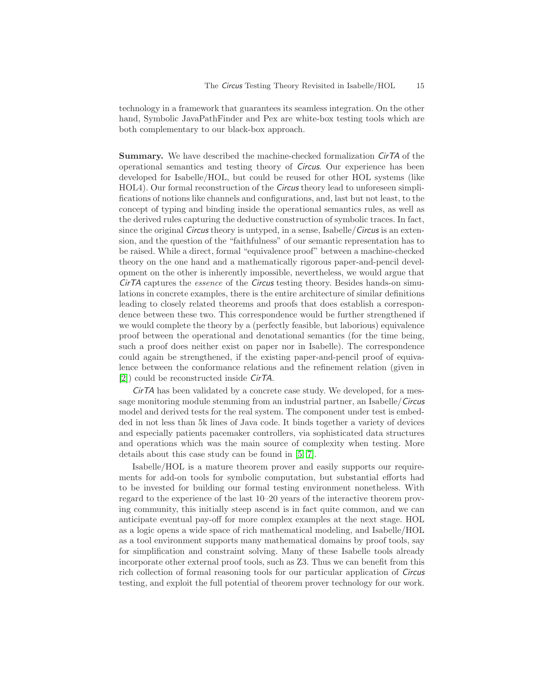technology in a framework that guarantees its seamless integration. On the other hand, Symbolic JavaPathFinder and Pex are white-box testing tools which are both complementary to our black-box approach.

Summary. We have described the machine-checked formalization CirTA of the operational semantics and testing theory of Circus. Our experience has been developed for Isabelle/HOL, but could be reused for other HOL systems (like HOL4). Our formal reconstruction of the Circus theory lead to unforeseen simplifications of notions like channels and configurations, and, last but not least, to the concept of typing and binding inside the operational semantics rules, as well as the derived rules capturing the deductive construction of symbolic traces. In fact, since the original *Circus* theory is untyped, in a sense, Isabelle/*Circus* is an extension, and the question of the "faithfulness" of our semantic representation has to be raised. While a direct, formal "equivalence proof" between a machine-checked theory on the one hand and a mathematically rigorous paper-and-pencil development on the other is inherently impossible, nevertheless, we would argue that CirTA captures the essence of the Circus testing theory. Besides hands-on simulations in concrete examples, there is the entire architecture of similar definitions leading to closely related theorems and proofs that does establish a correspondence between these two. This correspondence would be further strengthened if we would complete the theory by a (perfectly feasible, but laborious) equivalence proof between the operational and denotational semantics (for the time being, such a proof does neither exist on paper nor in Isabelle). The correspondence could again be strengthened, if the existing paper-and-pencil proof of equivalence between the conformance relations and the refinement relation (given in [2]) could be reconstructed inside CirTA.

CirTA has been validated by a concrete case study. We developed, for a message monitoring module stemming from an industrial partner, an Isabelle/Circus model and derived tests for the real system. The component under test is embedded in not less than 5k lines of Java code. It binds together a variety of devices and especially patients pacemaker controllers, via sophisticated data structures and operations which was the main source of complexity when testing. More details about this case study can be found in [5, 7].

Isabelle/HOL is a mature theorem prover and easily supports our requirements for add-on tools for symbolic computation, but substantial efforts had to be invested for building our formal testing environment nonetheless. With regard to the experience of the last 10–20 years of the interactive theorem proving community, this initially steep ascend is in fact quite common, and we can anticipate eventual pay-off for more complex examples at the next stage. HOL as a logic opens a wide space of rich mathematical modeling, and Isabelle/HOL as a tool environment supports many mathematical domains by proof tools, say for simplification and constraint solving. Many of these Isabelle tools already incorporate other external proof tools, such as Z3. Thus we can benefit from this rich collection of formal reasoning tools for our particular application of Circus testing, and exploit the full potential of theorem prover technology for our work.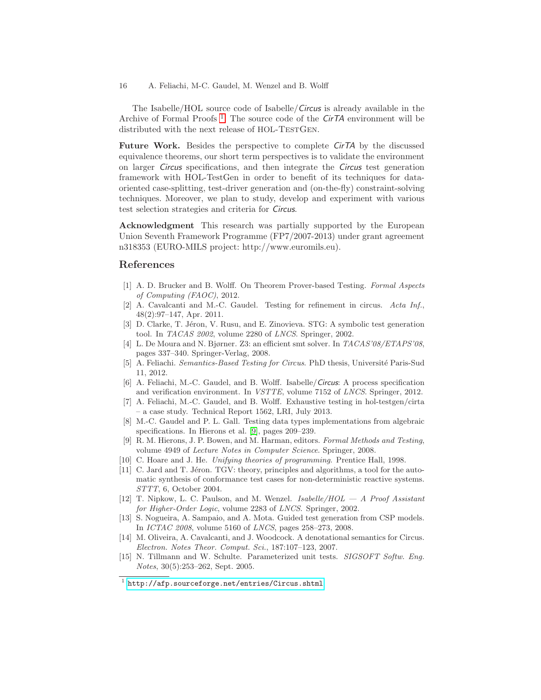The Isabelle/HOL source code of Isabelle/Circus is already available in the Archive of Formal Proofs<sup>1</sup>. The source code of the  $CirTA$  environment will be distributed with the next release of HOL-TESTGEN.

Future Work. Besides the perspective to complete CirTA by the discussed equivalence theorems, our short term perspectives is to validate the environment on larger Circus specifications, and then integrate the Circus test generation framework with HOL-TestGen in order to benefit of its techniques for dataoriented case-splitting, test-driver generation and (on-the-fly) constraint-solving techniques. Moreover, we plan to study, develop and experiment with various test selection strategies and criteria for Circus.

Acknowledgment This research was partially supported by the European Union Seventh Framework Programme (FP7/2007-2013) under grant agreement n318353 (EURO-MILS project: http://www.euromils.eu).

### References

- [1] A. D. Brucker and B. Wolff. On Theorem Prover-based Testing. Formal Aspects of Computing (FAOC), 2012.
- [2] A. Cavalcanti and M.-C. Gaudel. Testing for refinement in circus. Acta Inf., 48(2):97–147, Apr. 2011.
- [3] D. Clarke, T. Jéron, V. Rusu, and E. Zinovieva. STG: A symbolic test generation tool. In TACAS 2002, volume 2280 of LNCS. Springer, 2002.
- [4] L. De Moura and N. Bjørner. Z3: an efficient smt solver. In TACAS'08/ETAPS'08, pages 337–340. Springer-Verlag, 2008.
- [5] A. Feliachi. Semantics-Based Testing for Circus. PhD thesis, Université Paris-Sud 11, 2012.
- [6] A. Feliachi, M.-C. Gaudel, and B. Wolff. Isabelle/Circus: A process specification and verification environment. In VSTTE, volume 7152 of LNCS. Springer, 2012.
- [7] A. Feliachi, M.-C. Gaudel, and B. Wolff. Exhaustive testing in hol-testgen/cirta – a case study. Technical Report 1562, LRI, July 2013.
- [8] M.-C. Gaudel and P. L. Gall. Testing data types implementations from algebraic specifications. In Hierons et al. [9], pages 209–239.
- [9] R. M. Hierons, J. P. Bowen, and M. Harman, editors. Formal Methods and Testing, volume 4949 of Lecture Notes in Computer Science. Springer, 2008.
- [10] C. Hoare and J. He. Unifying theories of programming. Prentice Hall, 1998.
- [11] C. Jard and T. Jéron. TGV: theory, principles and algorithms, a tool for the automatic synthesis of conformance test cases for non-deterministic reactive systems. STTT, 6, October 2004.
- [12] T. Nipkow, L. C. Paulson, and M. Wenzel. *Isabelle/HOL*  $A$  *Proof Assistant* for Higher-Order Logic, volume 2283 of LNCS. Springer, 2002.
- [13] S. Nogueira, A. Sampaio, and A. Mota. Guided test generation from CSP models. In ICTAC 2008, volume 5160 of LNCS, pages 258–273, 2008.
- [14] M. Oliveira, A. Cavalcanti, and J. Woodcock. A denotational semantics for Circus. Electron. Notes Theor. Comput. Sci., 187:107–123, 2007.
- [15] N. Tillmann and W. Schulte. Parameterized unit tests. SIGSOFT Softw. Eng. Notes, 30(5):253–262, Sept. 2005.

<sup>1</sup> <http://afp.sourceforge.net/entries/Circus.shtml>